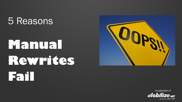#### 5 Reasons

## **Manual Rewrites Fail**



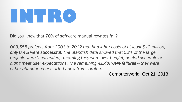# **INTRO**

Did you know that 70% of software manual rewrites fail?

*Of 3,555 projects from 2003 to 2012 that had labor costs of at least \$10 million, only 6.4% were successful. The Standish data showed that 52% of the large projects were "challenged," meaning they were over budget, behind schedule or didn't meet user expectations. The remaining 41.4% were failures -- they were either abandoned or started anew from scratch*.

Computerworld, Oct 21, 2013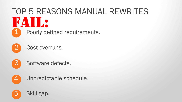## 1 Poorly defined requirements. TOP 5 REASONS MANUAL REWRITES FAIL:







Software defects.



Unpredictable schedule.

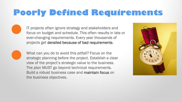#### **Poorly Defined Requirements**

IT projects often ignore strategy and stakeholders and focus on budget and schedule. This often results in late or ever-changing requirements. Every year thousands of projects get derailed because of bad requirements.



What can you do to avoid this pitfall? Focus on the strategic planning before the project. Establish a clear view of the project's strategic value to the business. The plan MUST go beyond technical requirements. Build a robust business case and maintain focus on the business objectives.

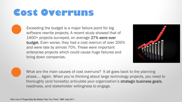#### **Cost Overruns**

Exceeding the budget is a major failure point for big software rewrite projects. A recent study showed that of 1400+ projects surveyed, on average 27% were over budget. Even worse, they had a cost overrun of over 200% and were late by almost 70%. These were important enterprise projects which could cause huge failures and bring down companies.



What are the main causes of cost overruns? It all goes back to the planning phase…. Again. When you're thinking about large technology projects, you need to thoroughly (and honestly) articulate your organization's strategic business goals, readiness, and stakeholder willingness to engage.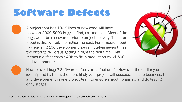#### **Software Defects**

A project that has 100K lines of new code will have between 2000-5000 bugs to find, fix, and test. Most of the bugs won't be discovered prior to project delivery. The later a bug is discovered, the higher the cost. For a medium bug fix (requiring 100 development hours), it takes seven times the effort to fix versus getting it right the first time. That means a defect costs \$40K to fix in production vs \$1,500 in development.\*





How to avoid bugs? Software defects are a fact of life. However, the earlier you identify and fix them, the more likely your project will succeed. Include business, IT and development in one project team to ensure smooth planning and do testing in early stages.

Cost of Rework Models for Agile and Non-Agile Projects, voke Research, July 11, 2012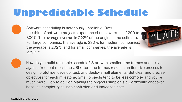#### **Unpredictable Schedule**

Software scheduling is notoriously unreliable. Over one-third of software projects experienced time overruns of 200 to 300%. The average overrun is 222% of the original time estimate. For large companies, the average is 230%; for medium companies, the average is 202%; and for small companies, the average is 239%.\*





How do you build a reliable schedule? Start with smaller time frames and deliver against frequent milestones. Shorter time frames result in an iterative process to design, prototype, develop, test, and deploy small elements. Set clear and precise objectives for each milestone. Small projects tend to be less complex and you're much more likely to deliver. Making the projects simpler is a worthwhile endeavor because complexity causes confusion and increased cost.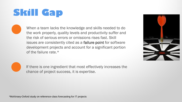## **Skill Gap**

When a team lacks the knowledge and skills needed to do the work properly, quality levels and productivity suffer and the risk of serious errors or omissions rises fast. Skill issues are consistently cited as a failure point for software development projects and account for a significant portion of the failure rate.\*





If there is one ingredient that most effectively increases the chance of project success, it is expertise.

\*McKinsey-Oxford study on reference-class forecasting for IT projects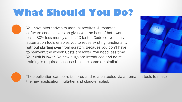#### **What Should You Do?**

You have alternatives to manual rewrites. Automated software code conversion gives you the best of both worlds, costs 80% less money and is 4X faster. Code conversion via automation tools enables you to reuse existing functionality without starting over from scratch. Because you don't have to re-invent the wheel: Costs are lower. You need less time. Your risk is lower. No new bugs are introduced and no retraining is required because UI is the same (or similar).





The application can be re-factored and re-architected via automation tools to make the new application multi-tier and cloud-enabled.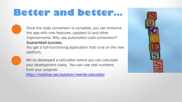#### **Better and better…**

Once the code conversion is complete, you can enhance the app with new features, updated UI and other improvements. Why use automated code conversion? Guaranteed success.

You get a full-functioning application that runs on the new platform.



We've developed a calculator where you can calculate your development costs. You can use real numbers from your projects:

<http://mobilize.net/solution/rewrite-calculator>